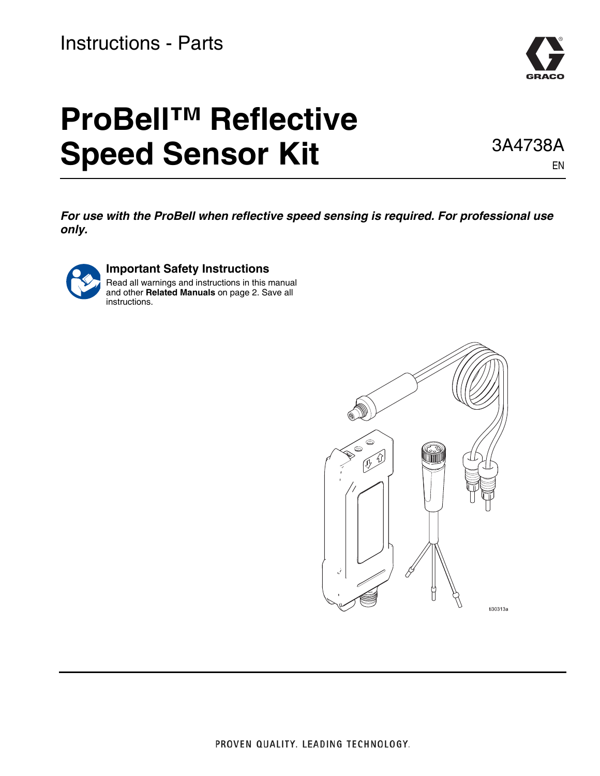# Instructions - Parts



# **ProBell™ Reflective Speed Sensor Kit**

3A4738A EN

*For use with the ProBell when reflective speed sensing is required. For professional use only.*



#### **Important Safety Instructions**

Read all warnings and instructions in this manual and other **[Related Manuals](#page-1-0)** on page [2](#page-1-0). Save all instructions.

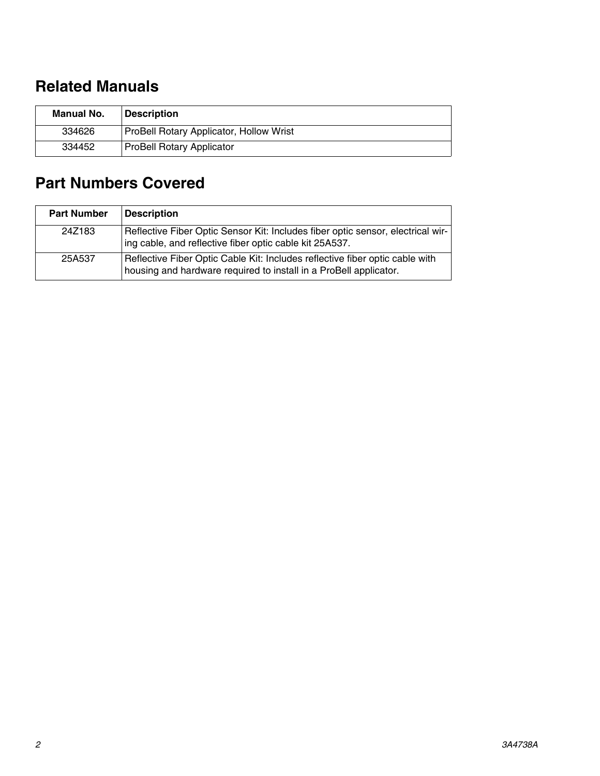## <span id="page-1-0"></span>**Related Manuals**

| Manual No. | <b>Description</b>                      |
|------------|-----------------------------------------|
| 334626     | ProBell Rotary Applicator, Hollow Wrist |
| 334452     | <b>ProBell Rotary Applicator</b>        |

## **Part Numbers Covered**

| <b>Part Number</b> | <b>Description</b>                                                                                                                                |
|--------------------|---------------------------------------------------------------------------------------------------------------------------------------------------|
| 24Z183             | Reflective Fiber Optic Sensor Kit: Includes fiber optic sensor, electrical wir-<br>ing cable, and reflective fiber optic cable kit 25A537.        |
| 25A537             | Reflective Fiber Optic Cable Kit: Includes reflective fiber optic cable with<br>housing and hardware required to install in a ProBell applicator. |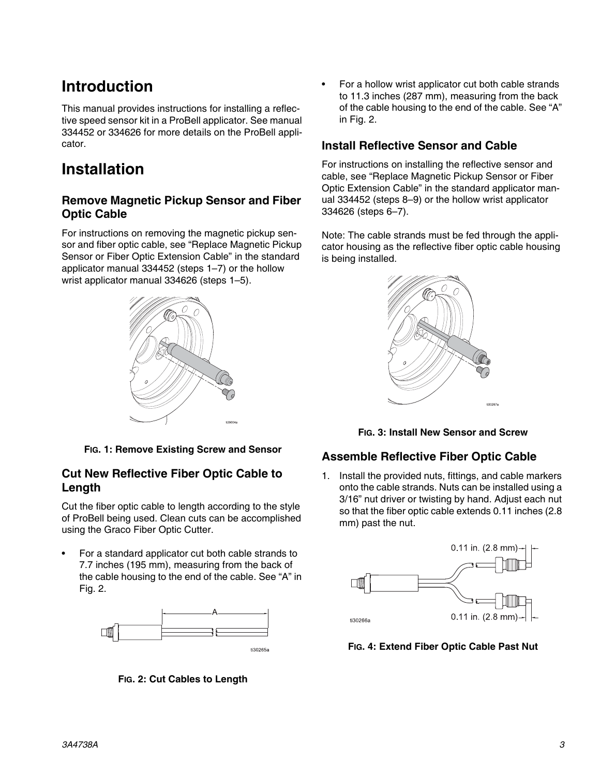## **Introduction**

This manual provides instructions for installing a reflective speed sensor kit in a ProBell applicator. See manual 334452 or 334626 for more details on the ProBell applicator.

## **Installation**

#### **Remove Magnetic Pickup Sensor and Fiber Optic Cable**

For instructions on removing the magnetic pickup sensor and fiber optic cable, see "Replace Magnetic Pickup Sensor or Fiber Optic Extension Cable" in the standard applicator manual 334452 (steps 1–7) or the hollow wrist applicator manual 334626 (steps 1–5).



**FIG. 1: Remove Existing Screw and Sensor**

#### **Cut New Reflective Fiber Optic Cable to Length**

Cut the fiber optic cable to length according to the style of ProBell being used. Clean cuts can be accomplished using the Graco Fiber Optic Cutter.

• For a standard applicator cut both cable strands to 7.7 inches (195 mm), measuring from the back of the cable housing to the end of the cable. See "A" in Fig. 2.



**FIG. 2: Cut Cables to Length**

• For a hollow wrist applicator cut both cable strands to 11.3 inches (287 mm), measuring from the back of the cable housing to the end of the cable. See "A" in Fig. 2.

#### **Install Reflective Sensor and Cable**

For instructions on installing the reflective sensor and cable, see "Replace Magnetic Pickup Sensor or Fiber Optic Extension Cable" in the standard applicator manual 334452 (steps 8–9) or the hollow wrist applicator 334626 (steps 6–7).

Note: The cable strands must be fed through the applicator housing as the reflective fiber optic cable housing is being installed.



**FIG. 3: Install New Sensor and Screw**

#### **Assemble Reflective Fiber Optic Cable**

1. Install the provided nuts, fittings, and cable markers onto the cable strands. Nuts can be installed using a 3/16" nut driver or twisting by hand. Adjust each nut so that the fiber optic cable extends 0.11 inches (2.8 mm) past the nut.



**FIG. 4: Extend Fiber Optic Cable Past Nut**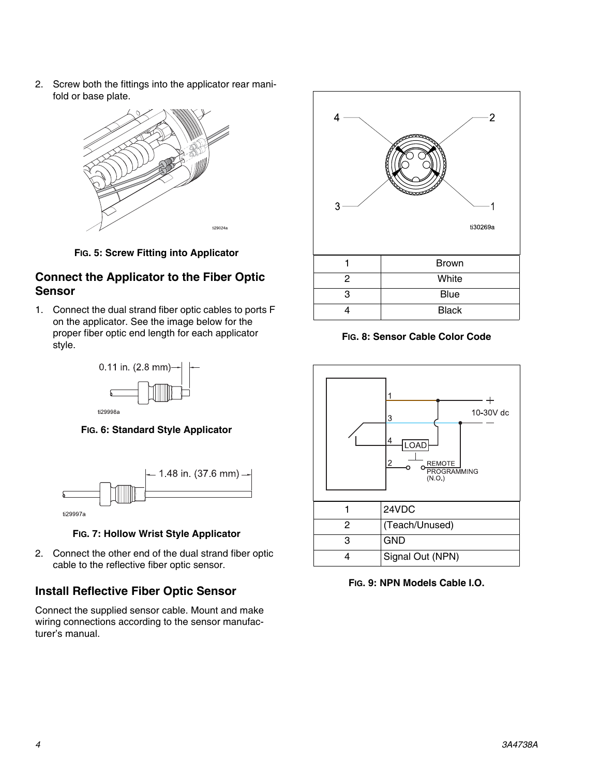2. Screw both the fittings into the applicator rear manifold or base plate.



**FIG. 5: Screw Fitting into Applicator**

#### **Connect the Applicator to the Fiber Optic Sensor**

1. Connect the dual strand fiber optic cables to ports F on the applicator. See the image below for the proper fiber optic end length for each applicator style.



**FIG. 6: Standard Style Applicator**



**FIG. 7: Hollow Wrist Style Applicator**

2. Connect the other end of the dual strand fiber optic cable to the reflective fiber optic sensor.

#### **Install Reflective Fiber Optic Sensor**

Connect the supplied sensor cable. Mount and make wiring connections according to the sensor manufacturer's manual.



**FIG. 8: Sensor Cable Color Code**



**FIG. 9: NPN Models Cable I.O.**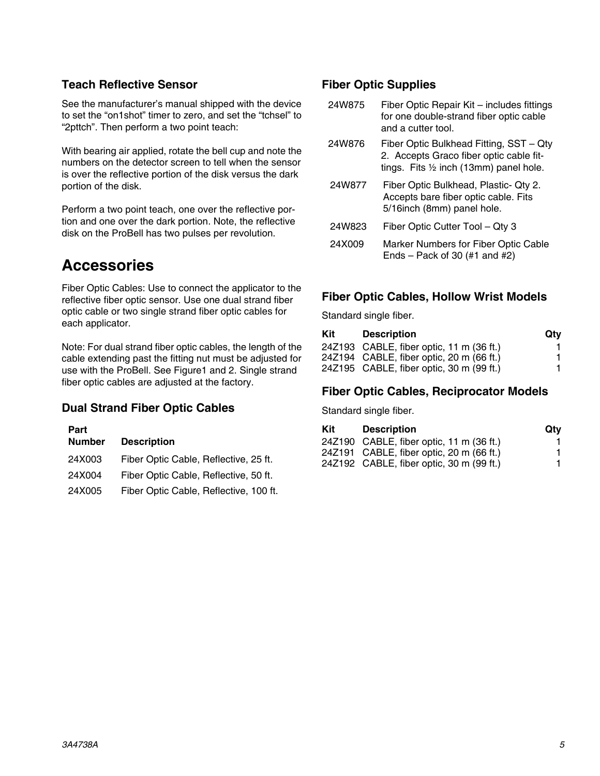#### **Teach Reflective Sensor**

See the manufacturer's manual shipped with the device to set the "on1shot" timer to zero, and set the "tchsel" to "2pttch". Then perform a two point teach:

With bearing air applied, rotate the bell cup and note the numbers on the detector screen to tell when the sensor is over the reflective portion of the disk versus the dark portion of the disk.

Perform a two point teach, one over the reflective portion and one over the dark portion. Note, the reflective disk on the ProBell has two pulses per revolution.

### **Accessories**

Fiber Optic Cables: Use to connect the applicator to the reflective fiber optic sensor. Use one dual strand fiber optic cable or two single strand fiber optic cables for each applicator.

Note: For dual strand fiber optic cables, the length of the cable extending past the fitting nut must be adjusted for use with the ProBell. See Figure1 and 2. Single strand fiber optic cables are adjusted at the factory.

#### **Dual Strand Fiber Optic Cables**

| Part          |                                        |
|---------------|----------------------------------------|
| <b>Number</b> | <b>Description</b>                     |
| 24X003        | Fiber Optic Cable, Reflective, 25 ft.  |
| 24X004        | Fiber Optic Cable, Reflective, 50 ft.  |
| 24X005        | Fiber Optic Cable, Reflective, 100 ft. |

#### **Fiber Optic Supplies**

| 24W875 | Fiber Optic Repair Kit – includes fittings |
|--------|--------------------------------------------|
|        | for one double-strand fiber optic cable    |
|        | and a cutter tool.                         |

- 24W876 Fiber Optic Bulkhead Fitting, SST Qty 2. Accepts Graco fiber optic cable fittings. Fits ½ inch (13mm) panel hole.
- 24W877 Fiber Optic Bulkhead, Plastic- Qty 2. Accepts bare fiber optic cable. Fits 5/16inch (8mm) panel hole.
- 24W823 Fiber Optic Cutter Tool Qty 3
- 24X009 Marker Numbers for Fiber Optic Cable Ends – Pack of 30  $(\#1 \text{ and } \#2)$

#### **Fiber Optic Cables, Hollow Wrist Models**

Standard single fiber.

| Kit | <b>Description</b>                       | Qtv |
|-----|------------------------------------------|-----|
|     | 24Z193 CABLE, fiber optic, 11 m (36 ft.) |     |
|     | 24Z194 CABLE, fiber optic, 20 m (66 ft.) |     |
|     | 24Z195 CABLE, fiber optic, 30 m (99 ft.) |     |

#### **Fiber Optic Cables, Reciprocator Models**

Standard single fiber.

| Kit | <b>Description</b>                       | Qtv |
|-----|------------------------------------------|-----|
|     | 24Z190 CABLE, fiber optic, 11 m (36 ft.) |     |
|     | 24Z191 CABLE, fiber optic, 20 m (66 ft.) |     |
|     | 24Z192 CABLE, fiber optic, 30 m (99 ft.) |     |